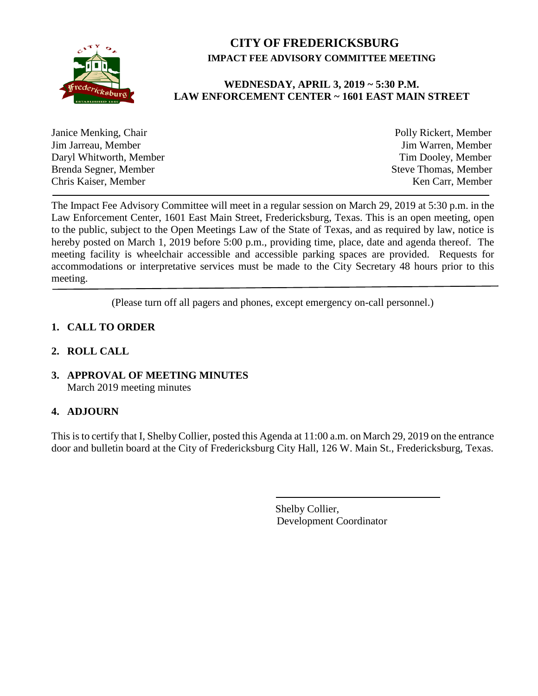

# **CITY OF FREDERICKSBURG IMPACT FEE ADVISORY COMMITTEE MEETING**

## **WEDNESDAY, APRIL 3, 2019 ~ 5:30 P.M. LAW ENFORCEMENT CENTER ~ 1601 EAST MAIN STREET**

| Janice Menking, Chair   | Polly Rickert, Member       |
|-------------------------|-----------------------------|
| Jim Jarreau, Member     | Jim Warren, Member          |
| Daryl Whitworth, Member | Tim Dooley, Member          |
| Brenda Segner, Member   | <b>Steve Thomas, Member</b> |
| Chris Kaiser, Member    | Ken Carr, Member            |
|                         |                             |

The Impact Fee Advisory Committee will meet in a regular session on March 29, 2019 at 5:30 p.m. in the Law Enforcement Center, 1601 East Main Street, Fredericksburg, Texas. This is an open meeting, open to the public, subject to the Open Meetings Law of the State of Texas, and as required by law, notice is hereby posted on March 1, 2019 before 5:00 p.m., providing time, place, date and agenda thereof. The meeting facility is wheelchair accessible and accessible parking spaces are provided. Requests for accommodations or interpretative services must be made to the City Secretary 48 hours prior to this meeting.

(Please turn off all pagers and phones, except emergency on-call personnel.)

## **1. CALL TO ORDER**

## **2. ROLL CALL**

**3. APPROVAL OF MEETING MINUTES** March 2019 meeting minutes

## **4. ADJOURN**

This is to certify that I, Shelby Collier, posted this Agenda at 11:00 a.m. on March 29, 2019 on the entrance door and bulletin board at the City of Fredericksburg City Hall, 126 W. Main St., Fredericksburg, Texas.

> Shelby Collier, Development Coordinator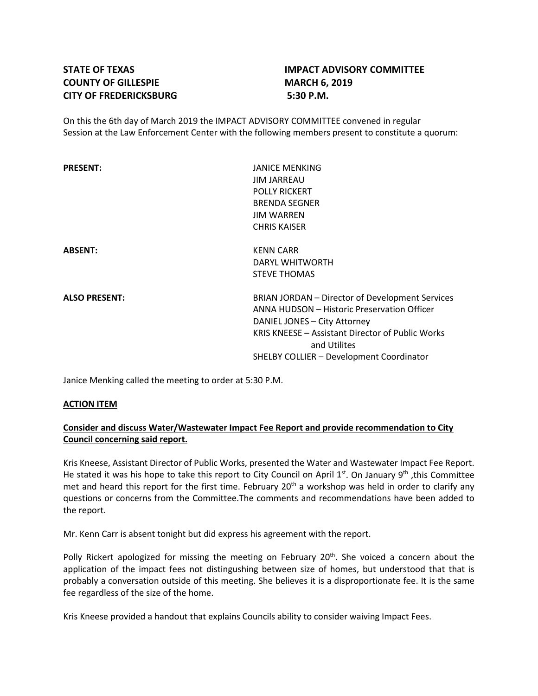# **COUNTY OF GILLESPIE MARCH 6, 2019 CITY OF FREDERICKSBURG 5:30 P.M.**

# **STATE OF TEXAS IMPACT ADVISORY COMMITTEE**

On this the 6th day of March 2019 the IMPACT ADVISORY COMMITTEE convened in regular Session at the Law Enforcement Center with the following members present to constitute a quorum:

| <b>PRESENT:</b>      | JANICE MENKING<br><b>JIM JARREAU</b><br><b>POLLY RICKERT</b><br><b>BRENDA SEGNER</b><br><b>JIM WARREN</b><br><b>CHRIS KAISER</b>                                                                                                               |
|----------------------|------------------------------------------------------------------------------------------------------------------------------------------------------------------------------------------------------------------------------------------------|
| <b>ABSENT:</b>       | <b>KENN CARR</b><br>DARYL WHITWORTH<br><b>STEVE THOMAS</b>                                                                                                                                                                                     |
| <b>ALSO PRESENT:</b> | BRIAN JORDAN - Director of Development Services<br>ANNA HUDSON - Historic Preservation Officer<br>DANIEL JONES - City Attorney<br>KRIS KNEESE - Assistant Director of Public Works<br>and Utilites<br>SHELBY COLLIER - Development Coordinator |

Janice Menking called the meeting to order at 5:30 P.M.

#### **ACTION ITEM**

## **Consider and discuss Water/Wastewater Impact Fee Report and provide recommendation to City Council concerning said report.**

Kris Kneese, Assistant Director of Public Works, presented the Water and Wastewater Impact Fee Report. He stated it was his hope to take this report to City Council on April  $1^{st}$ . On January 9<sup>th</sup>, this Committee met and heard this report for the first time. February  $20<sup>th</sup>$  a workshop was held in order to clarify any questions or concerns from the Committee.The comments and recommendations have been added to the report.

Mr. Kenn Carr is absent tonight but did express his agreement with the report.

Polly Rickert apologized for missing the meeting on February  $20<sup>th</sup>$ . She voiced a concern about the application of the impact fees not distingushing between size of homes, but understood that that is probably a conversation outside of this meeting. She believes it is a disproportionate fee. It is the same fee regardless of the size of the home.

Kris Kneese provided a handout that explains Councils ability to consider waiving Impact Fees.